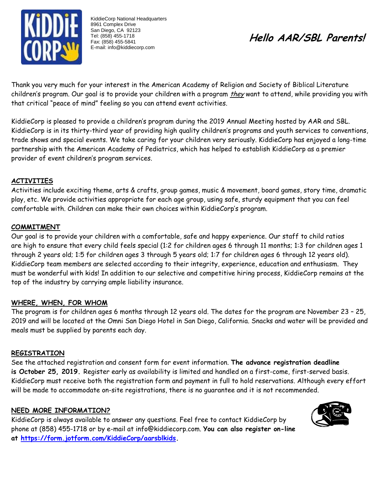

KiddieCorp National Headquarters 8961 Complex Drive San Diego, CA 92123 Tel: (858) 455-1718 Fax: (858) 455-5841 E-mail: info@kiddiecorp.com

# **Hello AAR/SBL Parents!**

Thank you very much for your interest in the American Academy of Religion and Society of Biblical Literature children's program. Our goal is to provide your children with a program they want to attend, while providing you with that critical "peace of mind" feeling so you can attend event activities.

KiddieCorp is pleased to provide a children's program during the 2019 Annual Meeting hosted by AAR and SBL. KiddieCorp is in its thirty-third year of providing high quality children's programs and youth services to conventions, trade shows and special events. We take caring for your children very seriously. KiddieCorp has enjoyed a long-time partnership with the American Academy of Pediatrics, which has helped to establish KiddieCorp as a premier provider of event children's program services.

#### **ACTIVITIES**

Activities include exciting theme, arts & crafts, group games, music & movement, board games, story time, dramatic play, etc. We provide activities appropriate for each age group, using safe, sturdy equipment that you can feel comfortable with. Children can make their own choices within KiddieCorp's program.

#### **COMMITMENT**

Our goal is to provide your children with a comfortable, safe and happy experience. Our staff to child ratios are high to ensure that every child feels special (1:2 for children ages 6 through 11 months; 1:3 for children ages 1 through 2 years old; 1:5 for children ages 3 through 5 years old; 1:7 for children ages 6 through 12 years old). KiddieCorp team members are selected according to their integrity, experience, education and enthusiasm. They must be wonderful with kids! In addition to our selective and competitive hiring process, KiddieCorp remains at the top of the industry by carrying ample liability insurance.

#### **WHERE, WHEN, FOR WHOM**

The program is for children ages 6 months through 12 years old. The dates for the program are November 23 – 25, 2019 and will be located at the Omni San Diego Hotel in San Diego, California. Snacks and water will be provided and meals must be supplied by parents each day.

#### **REGISTRATION**

See the attached registration and consent form for event information. **The advance registration deadline is October 25, 2019.** Register early as availability is limited and handled on a first-come, first-served basis. KiddieCorp must receive both the registration form and payment in full to hold reservations. Although every effort will be made to accommodate on-site registrations, there is no guarantee and it is not recommended.

#### **NEED MORE INFORMATION?**

KiddieCorp is always available to answer any questions. Feel free to contact KiddieCorp by phone at (858) 455-1718 or by e-mail at [info@kiddiecorp.com.](mailto:info@kiddiecorp.com) **You can also register on-line at [https://form.jotform.com/KiddieCorp/aarsblkids.](https://form.jotform.com/KiddieCorp/aarsblkids)**

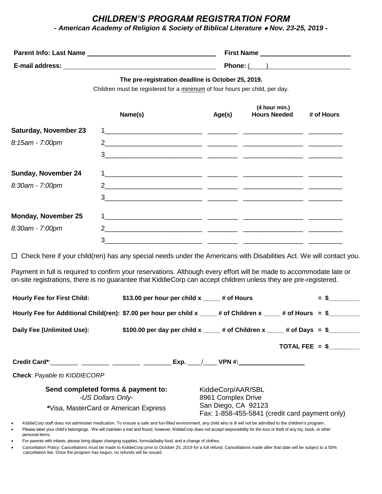### *CHILDREN'S PROGRAM REGISTRATION FORM*

*- American Academy of Religion & Society of Biblical Literature* ⚫ *Nov. 23-25, 2019 -*

| <b>Parent Info: Last Name</b> | <b>First Name</b>                                 |
|-------------------------------|---------------------------------------------------|
| E-mail address:               | Phone: (                                          |
|                               | The pre-registration deadline is October 25, 2019 |

#### **The pre-registration deadline is October 25, 2019.**

Children must be registered for a minimum of four hours per child, per day.

|                              | Name(s)                                                                                                                                                                                                                                                                                       | Age(s) | (4 hour min.)<br><b>Hours Needed</b> | # of Hours |
|------------------------------|-----------------------------------------------------------------------------------------------------------------------------------------------------------------------------------------------------------------------------------------------------------------------------------------------|--------|--------------------------------------|------------|
| <b>Saturday, November 23</b> |                                                                                                                                                                                                                                                                                               |        |                                      |            |
| 8:15am - 7:00pm              |                                                                                                                                                                                                                                                                                               |        |                                      |            |
|                              | 3 <sup>1</sup>                                                                                                                                                                                                                                                                                |        |                                      |            |
| <b>Sunday, November 24</b>   |                                                                                                                                                                                                                                                                                               |        |                                      |            |
| 8:30am - 7:00pm              | 2 and $\frac{1}{2}$ and $\frac{1}{2}$ and $\frac{1}{2}$ and $\frac{1}{2}$ and $\frac{1}{2}$ and $\frac{1}{2}$ and $\frac{1}{2}$ and $\frac{1}{2}$ and $\frac{1}{2}$ and $\frac{1}{2}$ and $\frac{1}{2}$ and $\frac{1}{2}$ and $\frac{1}{2}$ and $\frac{1}{2}$ and $\frac{1}{2}$ and $\frac{1$ |        |                                      |            |
|                              | 3 <sup>7</sup>                                                                                                                                                                                                                                                                                |        |                                      |            |
| <b>Monday, November 25</b>   |                                                                                                                                                                                                                                                                                               |        |                                      |            |
| 8:30am - 7:00pm              | $\mathcal{P}$                                                                                                                                                                                                                                                                                 |        |                                      |            |
|                              | 3                                                                                                                                                                                                                                                                                             |        |                                      |            |

□ Check here if your child(ren) has any special needs under the Americans with Disabilities Act. We will contact you.

Payment in full is required to confirm your reservations. Although every effort will be made to accommodate late or on-site registrations, there is no guarantee that KiddieCorp can accept children unless they are pre-registered.

| Hourly Fee for Additional Child(ren): \$7.00 per hour per child $x$ _____ # of Children $x$ ____ # of Hours = \$_______                                        |  |  |
|----------------------------------------------------------------------------------------------------------------------------------------------------------------|--|--|
| \$100.00 per day per child x _____# of Children x ____# of Days = $\frac{6}{3}$                                                                                |  |  |
| TOTAL FEE $=$ \$                                                                                                                                               |  |  |
| Credit Card*:________ ________ ________ ________ Exp. ___/____ VPN #:___________                                                                               |  |  |
|                                                                                                                                                                |  |  |
| KiddieCorp/AAR/SBL<br>8961 Complex Drive                                                                                                                       |  |  |
| San Diego, CA 92123<br>Fax: 1-858-455-5841 (credit card payment only)                                                                                          |  |  |
| KidioCerp staff deep pet administer medication. To engure a sofe and fun filled environment, any objd who is ill will not be admitted to the objdren's program |  |  |

• KiddieCorp staff does not administer medication. To ensure a safe and fun-filled environment, any child who is ill will not be admitted to the children's program. Please label your child's belongings. We will maintain a lost and found, however, KiddieCorp does not accept responsibility for the loss or theft of any toy, book, or other

- personal items.
- For parents with infants, please bring diaper changing supplies, formula/baby food, and a change of clothes.
- Cancellation Policy: Cancellations must be made to KiddieCorp prior to October 25, 2019 for a full refund. Cancellations made after that date will be subject to a 50% cancellation fee. Once the program has begun, no refunds will be issued.